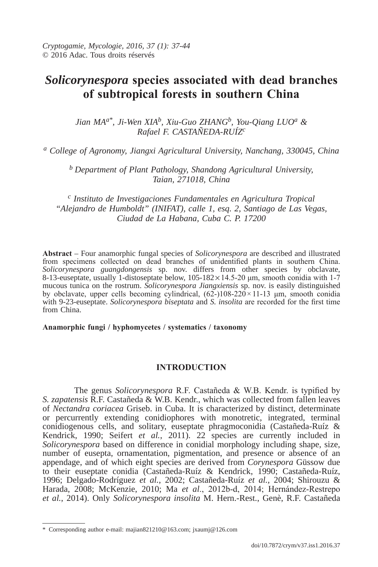# *Solicorynespora* **species associated with dead branches of subtropical forests in southern china**

Jian MA<sup>a\*</sup>, Ji-Wen XIA<sup>b</sup>, Xiu-Guo ZHANG<sup>b</sup>, You-Qiang LUO<sup>a</sup> & *Rafael F. CASTAñEDA-RUíZc*

*a College of Agronomy, Jiangxi Agricultural University, Nanchang, 330045, China*

*b Department of Plant Pathology, Shandong Agricultural University, Taian, 271018, China* 

*c Instituto de Investigaciones Fundamentales en Agricultura Tropical "Alejandro de Humboldt" (INIFAT), calle 1, esq. 2, Santiago de Las Vegas, Ciudad de La Habana, Cuba C. P. 17200*

**Abstract** – Four anamorphic fungal species of *Solicorynespora* are described and illustrated from specimens collected on dead branches of unidentified plants in southern China. *Solicorynespora guangdongensis* sp. nov. differs from other species by obclavate, 8-13-euseptate, usually 1-distoseptate below,  $105-182\times14.5-20$  µm, smooth conidia with 1-7 mucous tunica on the rostrum. *Solicorynespora Jiangxiensis* sp. nov. is easily distinguished by obclavate, upper cells becoming cylindrical,  $(62-)108-220 \times 11-13$  μm, smooth conidia with 9-23-euseptate. *Solicorynespora biseptata* and *S. insolita* are recorded for the first time from China.

### **Anamorphic fungi / hyphomycetes / systematics / taxonomy**

# **INTroducTIoN**

The genus *Solicorynespora* R.F. Castañeda & W.B. Kendr. is typified by *S. zapatensis* R.F. Castañeda & W.B. Kendr., which was collected from fallen leaves of *Nectandra coriacea* Griseb. in Cuba. It is characterized by distinct, determinate or percurrently extending conidiophores with monotretic, integrated, terminal conidiogenous cells, and solitary, euseptate phragmoconidia (Castañeda-Ruíz & Kendrick, 1990; Seifert *et al.*, 2011). 22 species are currently included in *Solicorynespora* based on difference in conidial morphology including shape, size, number of eusepta, ornamentation, pigmentation, and presence or absence of an appendage, and of which eight species are derived from *Corynespora* Güssow due to their euseptate conidia (Castañeda-Ruíz & Kendrick, 1990; Castañeda-Ruíz, 1996; Delgado-Rodríguez *et al.*, 2002; Castañeda-Ruíz *et al.*, 2004; Shirouzu & Harada, 2008; McKenzie, 2010; Ma *et al*., 2012b-d, 2014; Hernández-Restrepo *et al.*, 2014). Only *Solicorynespora insolita* M. Hern.-Rest., Genè, R.F. Castañeda

 <sup>\*</sup> Corresponding author e-mail: majian821210@163.com; jxaumj@126.com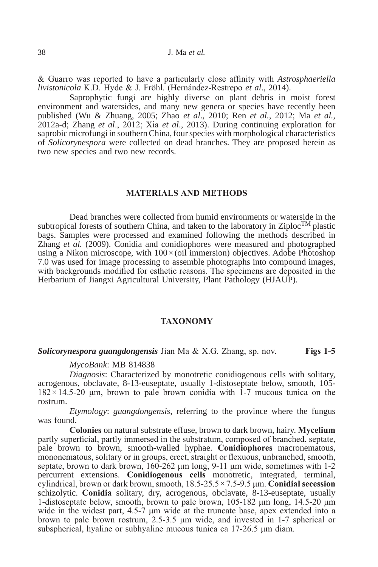& Guarro was reported to have a particularly close affinity with *Astrosphaeriella livistonicola* K.D. Hyde & J. Fröhl. (Hernández-Restrepo *et al*., 2014).

Saprophytic fungi are highly diverse on plant debris in moist forest environment and watersides, and many new genera or species have recently been published (Wu & Zhuang, 2005; Zhao *et al*., 2010; Ren *et al.*, 2012; Ma *et al.*, 2012a-d; Zhang *et al*., 2012; Xia *et al*., 2013). During continuing exploration for saprobic microfungi in southern China, four species with morphological characteristics of *Solicorynespora* were collected on dead branches. They are proposed herein as two new species and two new records.

## **MATErIAlS ANd METhodS**

Dead branches were collected from humid environments or waterside in the subtropical forests of southern China, and taken to the laboratory in Ziploc<sup>TM</sup> plastic bags. Samples were processed and examined following the methods described in Zhang *et al.* (2009). Conidia and conidiophores were measured and photographed using a Nikon microscope, with  $100 \times (oil$  immersion) objectives. Adobe Photoshop 7.0 was used for image processing to assemble photographs into compound images, with backgrounds modified for esthetic reasons. The specimens are deposited in the Herbarium of Jiangxi Agricultural University, Plant Pathology (HJAUP).

## **TAXoNoMY**

#### *Solicorynespora guangdongensis* Jian Ma & X.G. Zhang, sp. nov. **Figs 1-5**

*MycoBank*: MB 814838

*Diagnosis*: Characterized by monotretic conidiogenous cells with solitary, acrogenous, obclavate, 8-13-euseptate, usually 1-distoseptate below, smooth, 105-  $182 \times 14.5$ -20 μm, brown to pale brown conidia with 1-7 mucous tunica on the rostrum.

*Etymology*: *guangdongensis*, referring to the province where the fungus was found.

**colonies** on natural substrate effuse, brown to dark brown, hairy. **Mycelium** partly superficial, partly immersed in the substratum, composed of branched, septate, pale brown to brown, smooth-walled hyphae. **conidiophores** macronematous, mononematous, solitary or in groups, erect, straight or flexuous, unbranched, smooth, septate, brown to dark brown, 160-262 μm long, 9-11 μm wide, sometimes with 1-2 percurrent extensions. **conidiogenous cells** monotretic, integrated, terminal, cylindrical, brown or dark brown, smooth, 18.5-25.5 × 7.5-9.5 μm. **conidial secession** schizolytic. **conidia** solitary, dry, acrogenous, obclavate, 8-13-euseptate, usually 1-distoseptate below, smooth, brown to pale brown, 105-182 μm long, 14.5-20 μm wide in the widest part, 4.5-7 μm wide at the truncate base, apex extended into a brown to pale brown rostrum, 2.5-3.5 μm wide, and invested in 1-7 spherical or subspherical, hyaline or subhyaline mucous tunica ca 17-26.5 μm diam.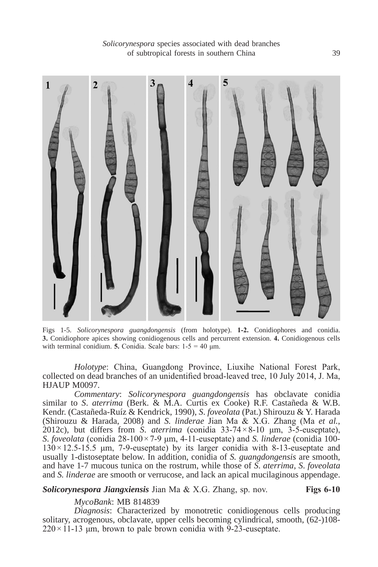

Figs 1-5. *Solicorynespora guangdongensis* (from holotype). **1-2.** Conidiophores and conidia. **3.** Conidiophore apices showing conidiogenous cells and percurrent extension. **4.** Conidiogenous cells with terminal conidium. **5.** Conidia. Scale bars:  $1-5 = 40 \text{ µm}$ .

*Holotype*: China, Guangdong Province, Liuxihe National Forest Park, collected on dead branches of an unidentified broad-leaved tree, 10 July 2014, J. Ma, HJAUP M0097.

*Commentary*: *Solicorynespora guangdongensis* has obclavate conidia similar to *S*. *aterrima* (Berk. & M.A. Curtis ex Cooke) R.F. Castañeda & W.B. Kendr. (Castañeda-Ruíz & Kendrick, 1990), *S*. *foveolata* (Pat.) Shirouzu & Y. Harada (Shirouzu & Harada, 2008) and *S. linderae* Jian Ma & X.G. Zhang (Ma *et al.*, 2012c), but differs from *S*. *aterrima* (conidia 33-74 × 8-10 μm, 3-5-euseptate), *S*. *foveolata* (conidia 28-100 × 7-9 μm, 4-11-euseptate) and *S. linderae* (conidia 100-  $130 \times 12.5$ -15.5 μm, 7-9-euseptate) by its larger conidia with 8-13-euseptate and usually 1-distoseptate below. In addition, conidia of *S. guangdongensis* are smooth, and have 1-7 mucous tunica on the rostrum, while those of *S*. *aterrima*, *S*. *foveolata* and *S. linderae* are smooth or verrucose, and lack an apical mucilaginous appendage.

*Solicorynespora Jiangxiensis* Jian Ma & X.G. Zhang, sp. nov. **Figs 6-10**

*MycoBank*: MB 814839

*Diagnosis*: Characterized by monotretic conidiogenous cells producing solitary, acrogenous, obclavate, upper cells becoming cylindrical, smooth, (62-)108-  $220 \times 11$ -13 μm, brown to pale brown conidia with 9-23-euseptate.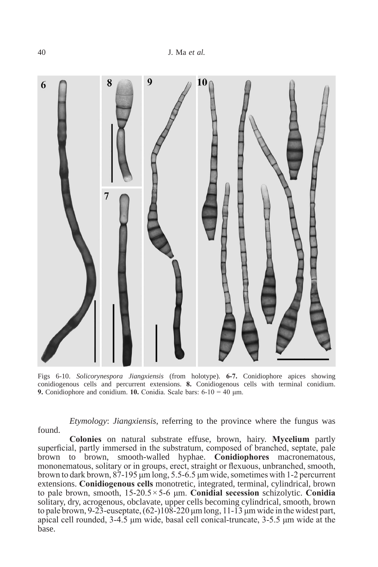

Figs 6-10. *Solicorynespora Jiangxiensis* (from holotype). **6-7.** Conidiophore apices showing conidiogenous cells and percurrent extensions. **8.** Conidiogenous cells with terminal conidium. **9.** Conidiophore and conidium. **10.** Conidia. Scale bars: 6-10 = 40 μm.

*Etymology*: *Jiangxiensis*, referring to the province where the fungus was found.

**colonies** on natural substrate effuse, brown, hairy. **Mycelium** partly superficial, partly immersed in the substratum, composed of branched, septate, pale brown to brown, smooth-walled hyphae. **conidiophores** macronematous, mononematous, solitary or in groups, erect, straight or flexuous, unbranched, smooth, brown to dark brown, 87-195 μm long, 5.5-6.5 μm wide, sometimes with 1-2 percurrent extensions. **conidiogenous cells** monotretic, integrated, terminal, cylindrical, brown to pale brown, smooth, 15-20.5 × 5-6 μm. **conidial secession** schizolytic. **conidia** solitary, dry, acrogenous, obclavate, upper cells becoming cylindrical, smooth, brown to pale brown, 9-23-euseptate,  $(62-)108-220 \,\mu m \log 11-13 \,\mu m$  wide in the widest part, apical cell rounded, 3-4.5 μm wide, basal cell conical-truncate, 3-5.5 μm wide at the base.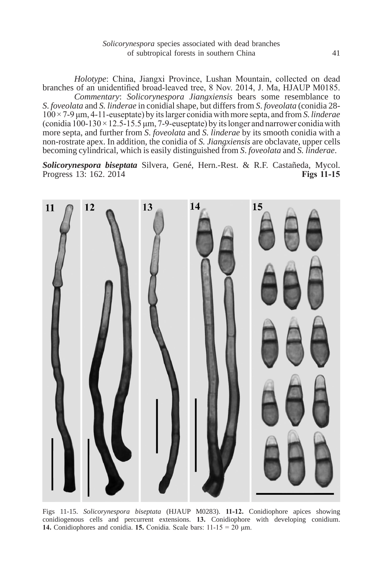*Holotype*: China, Jiangxi Province, Lushan Mountain, collected on dead branches of an unidentified broad-leaved tree, 8 Nov. 2014, J. Ma, HJAUP M0185. *Commentary*: *Solicorynespora Jiangxiensis* bears some resemblance to *S*. *foveolata* and *S. linderae* in conidial shape, but differs from *S*. *foveolata* (conidia 28- 100 × 7-9 μm, 4-11-euseptate) by its larger conidia with more septa, and from *S. linderae*  (conidia  $100-130 \times 12.5-15.5$  μm, 7-9-euseptate) by its longer and narrower conidia with more septa, and further from *S*. *foveolata* and *S. linderae* by its smooth conidia with a non-rostrate apex. In addition, the conidia of *S. Jiangxiensis* are obclavate, upper cells becoming cylindrical, which is easily distinguished from *S*. *foveolata* and *S. linderae*.

*Solicorynespora biseptata* Silvera, Gené, Hern.-Rest. & R.F. Castañeda, Mycol. Progress 13: 162. 2014



Figs 11-15. *Solicorynespora biseptata* (HJAUP M0283). **11-12.** Conidiophore apices showing conidiogenous cells and percurrent extensions. **13.** Conidiophore with developing conidium. **14.** Conidiophores and conidia. **15.** Conidia. Scale bars: 11-15 = 20 μm.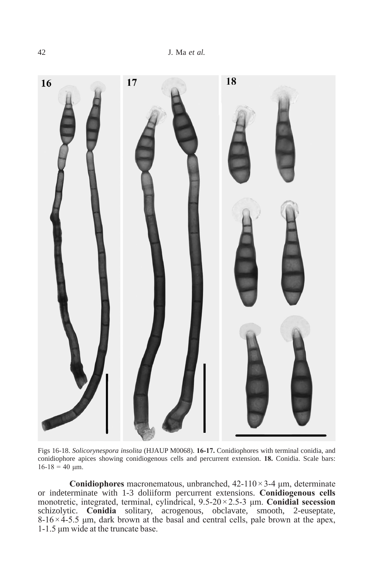

Figs 16-18. *Solicorynespora insolita* (HJAUP M0068). **16-17.** Conidiophores with terminal conidia, and conidiophore apices showing conidiogenous cells and percurrent extension. **18.** Conidia. Scale bars:  $16-18 = 40$  μm.

**conidiophores** macronematous, unbranched, 42-110 × 3-4 μm, determinate or indeterminate with 1-3 doliiform percurrent extensions. **conidiogenous cells** monotretic, integrated, terminal, cylindrical, 9.5-20 × 2.5-3 μm. **conidial secession** schizolytic. **conidia** solitary, acrogenous, obclavate, smooth, 2-euseptate,  $8-16 \times 4-5.5$  μm, dark brown at the basal and central cells, pale brown at the apex, 1-1.5 μm wide at the truncate base.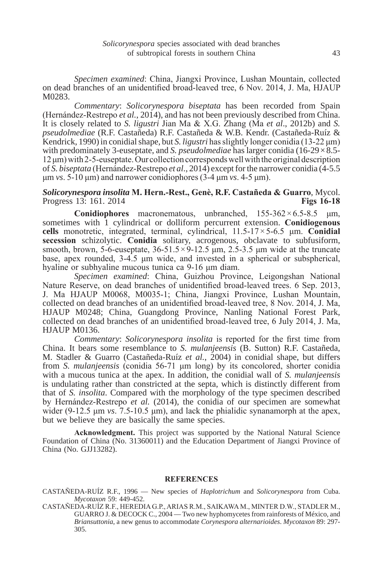*Specimen examined*: China, Jiangxi Province, Lushan Mountain, collected on dead branches of an unidentified broad-leaved tree, 6 Nov. 2014, J. Ma, HJAUP M0283

*Commentary*: *Solicorynespora biseptata* has been recorded from Spain (Hernández-Restrepo *et al.*, 2014), and has not been previously described from China. It is closely related to *S. ligustri* Jian Ma & X.G. Zhang (Ma *et al*., 2012b) and *S. pseudolmediae* (R.F. Castañeda) R.F. Castañeda & W.B. Kendr. (Castañeda-Ruíz & Kendrick, 1990) in conidial shape, but *S. ligustri* has slightly longer conidia (13-22 μm) with predominately 3-euseptate, and *S. pseudolmediae* has larger conidia (16-29 × 8.5- 12 μm) with 2-5-euseptate. Our collection corresponds well with the original description of *S. biseptata* (Hernández-Restrepo *et al*., 2014) except for the narrower conidia (4-5.5 μm *vs*. 5-10 μm) and narrower conidiophores (3-4 μm *vs*. 4-5 μm).

# **Solicorynespora insolita M. Hern.-Rest., Genè, R.F. Castañeda & Guarro, Mycol.**<br>Progress 13: 161. 2014 Progress 13: 161. 2014

**Conidiophores** macronematous, unbranched,  $155-362 \times 6.5-8.5$  μm, sometimes with 1 cylindrical or dolliform percurrent extension. **conidiogenous cells** monotretic, integrated, terminal, cylindrical, 11.5-17 × 5-6.5 μm. **conidial secession** schizolytic. **conidia** solitary, acrogenous, obclavate to subfusiform, smooth, brown, 5-6-euseptate,  $36-51.5 \times 9-12.5$  μm,  $2.5-3.5$  μm wide at the truncate base, apex rounded,  $3-4.5$  µm wide, and invested in a spherical or subspherical, hyaline or subhyaline mucous tunica ca 9-16 μm diam.

*Specimen examined*: China, Guizhou Province, Leigongshan National Nature Reserve, on dead branches of unidentified broad-leaved trees. 6 Sep. 2013, J. Ma HJAUP M0068, M0035-1; China, Jiangxi Province, Lushan Mountain, collected on dead branches of an unidentified broad-leaved tree, 8 Nov. 2014, J. Ma, HJAUP M0248; China, Guangdong Province, Nanling National Forest Park, collected on dead branches of an unidentified broad-leaved tree, 6 July 2014, J. Ma, HJAUP M0136.

*Commentary*: *Solicorynespora insolita* is reported for the first time from China. It bears some resemblance to *S. mulanjeensis* (B. Sutton) R.F. Castañeda, M. Stadler & Guarro (Castañeda-Ruíz *et al.*, 2004) in conidial shape, but differs from *S. mulanjeensis* (conidia 56-71 μm long) by its concolored, shorter conidia with a mucous tunica at the apex. In addition, the conidial wall of *S. mulanjeensis* is undulating rather than constricted at the septa, which is distinctly different from that of *S. insolita*. Compared with the morphology of the type specimen described by Hernández-Restrepo *et al.* (2014), the conidia of our specimen are somewhat wider (9-12.5 μm *vs*. 7.5-10.5 μm), and lack the phialidic synanamorph at the apex, but we believe they are basically the same species.

**Acknowledgment.** This project was supported by the National Natural Science Foundation of China (No. 31360011) and the Education Department of Jiangxi Province of China (No. GJJ13282).

#### **rEFErENcES**

CASTAÑEDA-RUÍZ R.F., 1996 — New species of *Haplotrichum* and *Solicorynespora* from Cuba. *Mycotaxon* 59: 449-452.

CASTAÑEDA-RUÍZ R.F., HEREDIA G.P., ARIAS R.M., SAIKAWA M., MINTER D.W., STADLER M., GUARRO J. & DECOCK C., 2004 — Two new hyphomycetes from rainforests of México, and *Briansuttonia*, a new genus to accommodate *Corynespora alternarioides*. *Mycotaxon* 89: 297- 305.